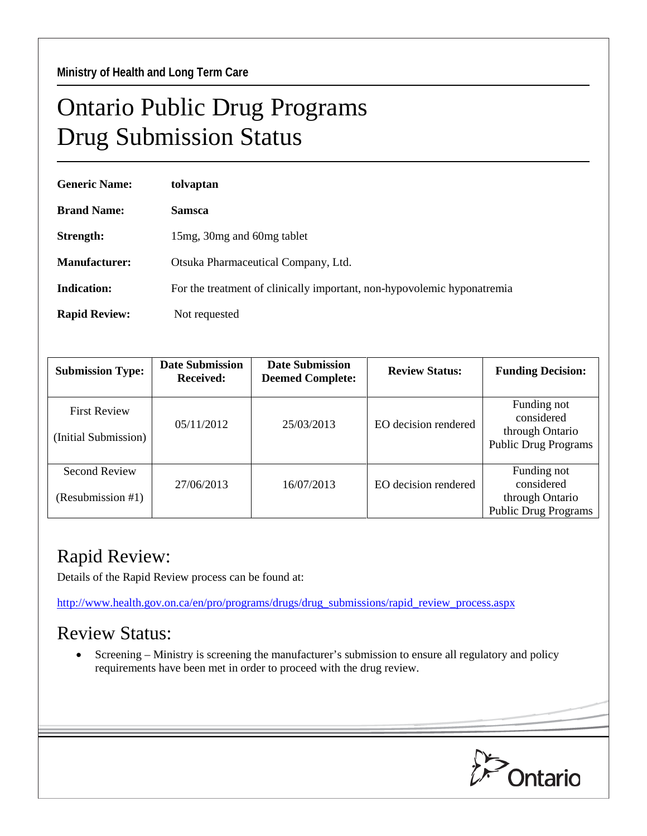## Ontario Public Drug Programs Drug Submission Status

| <b>Generic Name:</b> | tolvaptan                                                               |  |  |
|----------------------|-------------------------------------------------------------------------|--|--|
| <b>Brand Name:</b>   | <b>Samsca</b>                                                           |  |  |
| Strength:            | 15mg, 30mg and 60mg tablet                                              |  |  |
| Manufacturer:        | Otsuka Pharmaceutical Company, Ltd.                                     |  |  |
| Indication:          | For the treatment of clinically important, non-hypovolemic hyponatremia |  |  |
| <b>Rapid Review:</b> | Not requested                                                           |  |  |

| <b>Submission Type:</b>                     | <b>Date Submission</b><br><b>Received:</b> | <b>Date Submission</b><br><b>Deemed Complete:</b> | <b>Review Status:</b> | <b>Funding Decision:</b>                                                    |
|---------------------------------------------|--------------------------------------------|---------------------------------------------------|-----------------------|-----------------------------------------------------------------------------|
| <b>First Review</b><br>(Initial Submission) | 05/11/2012                                 | 25/03/2013                                        | EO decision rendered  | Funding not<br>considered<br>through Ontario<br><b>Public Drug Programs</b> |
| <b>Second Review</b><br>(Resubmission #1)   | 27/06/2013                                 | 16/07/2013                                        | EO decision rendered  | Funding not<br>considered<br>through Ontario<br><b>Public Drug Programs</b> |

## Rapid Review:

Details of the Rapid Review process can be found at:

[http://www.health.gov.on.ca/en/pro/programs/drugs/drug\\_submissions/rapid\\_review\\_process.aspx](http://www.health.gov.on.ca/en/pro/programs/drugs/drug_submissions/rapid_review_process.aspx)

## Review Status:

• Screening – Ministry is screening the manufacturer's submission to ensure all regulatory and policy requirements have been met in order to proceed with the drug review.